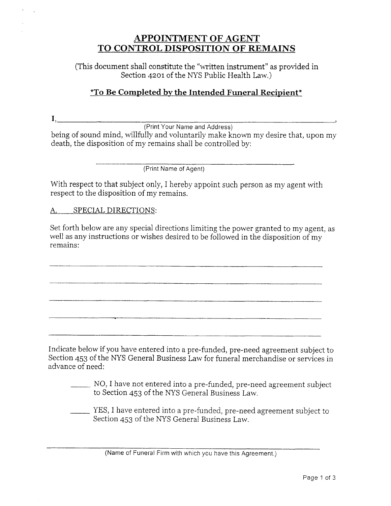## **APPOINTMENT OF AGENT** TO CONTROL DISPOSITION OF REMAINS

(This document shall constitute the "written instrument" as provided in  $\;$ Section 42ot of the NYS Public Health Law,)

## *\*To Be Completed by the Intended Funeral Recipient*\*

I,

(Print Your Name and Address)

being of sound mind, willfully and voluntarily make known my desire that, upon my death, the disposition of my remains shall be controlled by:

(Print Name of Agent)

With respect to that subject only, I hereby appoint such person as my agent with respect to the disposition of my remains.

A. SPECIAI DIRECTIONS:

Set forth below are any special directions limiting the power granted to my agent, as well as any instructions or wishes desired to be followed in the disposition of my remains:

Indicate below if you have entered into a pre-funded, pre-need agreement subject to Section 453 of the NYS General Business Law for funeral merchandise or services in advance of need:

NO, I have not entered into a pre-funded, pre-need agreement subject to Section 453 of the NYS General Business Law.

yES, I have entered into a pre-funded, pre-need agreement subject to Section 453 of the NYS General Business Law.

(Name of Funeral Firm with which you have this Agreement.)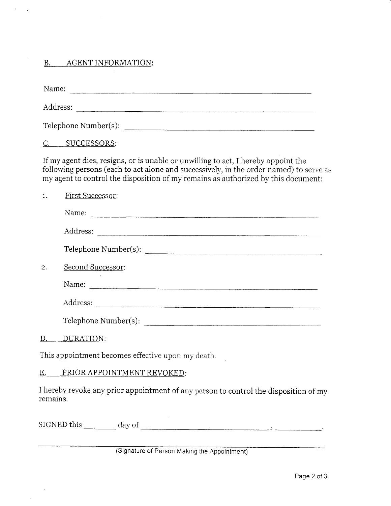### B. AGENT INFORMATION:

Name: Address: Telephone Number(s): C. SUCCESSORS: If my agent dies, resigns, or is unable or unwilling to act, I hereby appoint the following persons (each to act alone and successively, inthe order named) to serve as my agent to control the disposition of my remains as authorized by this document: 1. First Successor: Name: Address: Telephone Number(s): z. Second Successor: Name: Address: Telephone Number(s): D. DURATION: This appointment becomes effective upon my death. E. PRIOR APPOINTMENT REVOKED: I hereby revoke any prior appointment of any person to control the disposition of my remains.

SIGNED this day of

#### (Signature of Person Making the Appointment)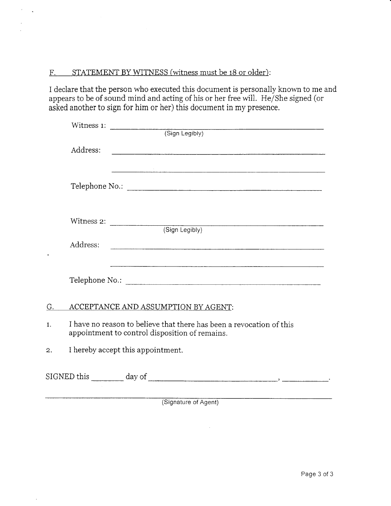### F. STATEMENT BY WITNESS (witness must be 18 or older):

I declare that the person who executed this document is personally known to me and appears to be of sound mind and acting of his or her free will. He/She signed (or asked another to sign for him or her) this document in my presence.

|                  | Address:                                                                                                               |
|------------------|------------------------------------------------------------------------------------------------------------------------|
|                  |                                                                                                                        |
|                  |                                                                                                                        |
|                  |                                                                                                                        |
|                  |                                                                                                                        |
|                  |                                                                                                                        |
|                  |                                                                                                                        |
|                  | Address:                                                                                                               |
|                  | and the control of the control of the control of the control of the control of the control of the control of the       |
|                  |                                                                                                                        |
|                  |                                                                                                                        |
| $G_{\cdot}$      | ACCEPTANCE AND ASSUMPTION BY AGENT:                                                                                    |
|                  |                                                                                                                        |
| $\mathbf{1}$ .   | I have no reason to believe that there has been a revocation of this<br>appointment to control disposition of remains. |
| $\overline{2}$ . | I hereby accept this appointment.                                                                                      |
|                  |                                                                                                                        |
|                  |                                                                                                                        |
|                  |                                                                                                                        |

(Signature of Agent)

 $\bar{\lambda}$